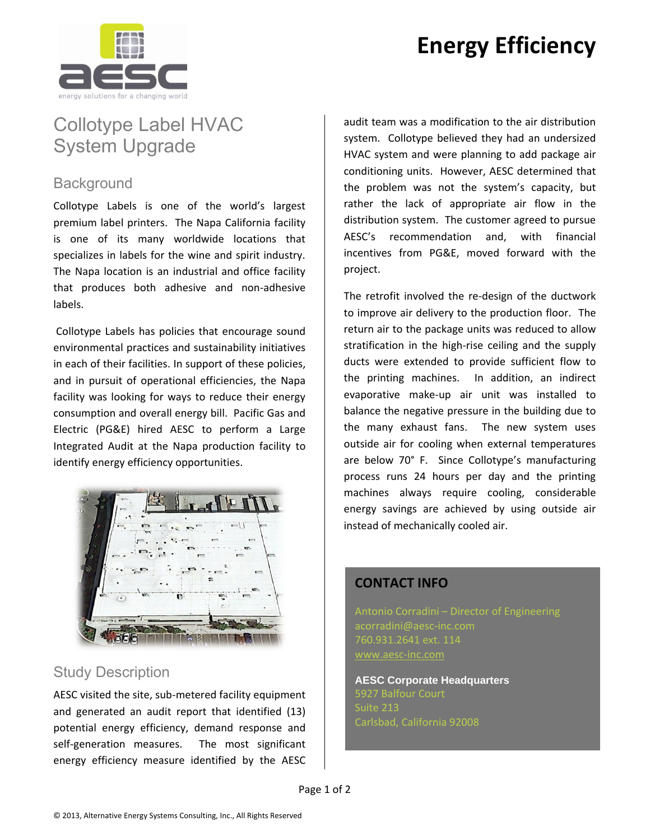# **Energy Efficiency**



### Collotype Label HVAC System Upgrade

#### **Background**

Collotype Labels is one of the world's largest premium label printers. The Napa California facility is one of its many worldwide locations that specializes in labels for the wine and spirit industry. The Napa location is an industrial and office facility that produces both adhesive and non-adhesive labels.

Collotype Labels has policies that encourage sound environmental practices and sustainability initiatives in each of their facilities. In support of these policies, and in pursuit of operational efficiencies, the Napa facility was looking for ways to reduce their energy consumption and overall energy bill. Pacific Gas and Electric (PG&E) hired AESC to perform a Large Integrated Audit at the Napa production facility to identify energy efficiency opportunities.



#### Study Description

AESC visited the site, sub-metered facility equipment and generated an audit report that identified (13) potential energy efficiency, demand response and self-generation measures. The most significant energy efficiency measure identified by the AESC

audit team was a modification to the air distribution system. Collotype believed they had an undersized HVAC system and were planning to add package air conditioning units. However, AESC determined that the problem was not the system's capacity, but rather the lack of appropriate air flow in the distribution system. The customer agreed to pursue AESC's recommendation and, with financial incentives from PG&E, moved forward with the project.

The retrofit involved the re-design of the ductwork to improve air delivery to the production floor. The return air to the package units was reduced to allow stratification in the high-rise ceiling and the supply ducts were extended to provide sufficient flow to the printing machines. In addition, an indirect evaporative make-up air unit was installed to balance the negative pressure in the building due to the many exhaust fans. The new system uses outside air for cooling when external temperatures are below 70° F. Since Collotype's manufacturing process runs 24 hours per day and the printing machines always require cooling, considerable energy savings are achieved by using outside air instead of mechanically cooled air.

#### **CONTACT INFO**

Antonio Corradini – Director of Engineering acorradini@aesc-inc.com 760.931.2641 ext. 114 [www.aesc-inc.com](http://www.aesc-inc.com/)

**AESC Corporate Headquarters** Suite 213 Carlsbad, California 92008

Page 1 of 2